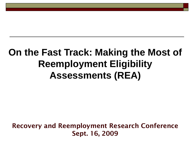#### **On the Fast Track: Making the Most of Reemployment Eligibility Assessments (REA)**

**Recovery and Reemployment Research Conference Sept. 16, 2009**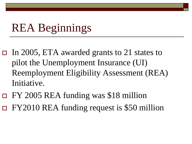## REA Beginnings

- In 2005, ETA awarded grants to 21 states to pilot the Unemployment Insurance (UI) Reemployment Eligibility Assessment (REA) Initiative.
- FY 2005 REA funding was \$18 million FY2010 REA funding request is \$50 million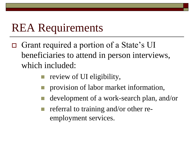# REA Requirements

- □ Grant required a portion of a State's UI beneficiaries to attend in person interviews, which included:
	- review of UI eligibility,
	- provision of labor market information,
	- development of a work-search plan, and/or
	- referral to training and/or other reemployment services.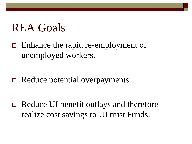### REA Goals

 Enhance the rapid re-employment of unemployed workers.

 $\Box$  Reduce potential overpayments.

 Reduce UI benefit outlays and therefore realize cost savings to UI trust Funds.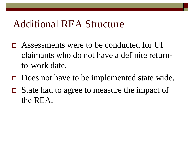#### Additional REA Structure

- Assessments were to be conducted for UI claimants who do not have a definite returnto-work date.
- $\Box$  Does not have to be implemented state wide.
- $\Box$  State had to agree to measure the impact of the REA.